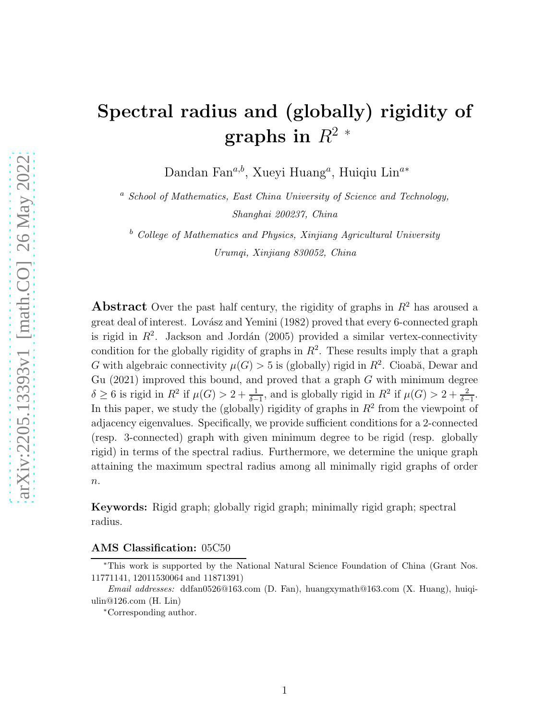# Spectral radius and (globally) rigidity of graphs in  $R^2$  \*

Dandan Fan $^{a,b}$ , Xueyi Huang<sup>a</sup>, Huiqiu Lin<sup>a\*</sup>

<sup>a</sup> School of Mathematics, East China University of Science and Technology, Shanghai 200237, China

 $b$  College of Mathematics and Physics, Xinjiang Agricultural University Urumqi, Xinjiang 830052, China

**Abstract** Over the past half century, the rigidity of graphs in  $R^2$  has aroused a great deal of interest. Lovász and Yemini (1982) proved that every 6-connected graph is rigid in  $R^2$ . Jackson and Jordán (2005) provided a similar vertex-connectivity condition for the globally rigidity of graphs in  $R^2$ . These results imply that a graph G with algebraic connectivity  $\mu(G) > 5$  is (globally) rigid in  $R^2$ . Cioabă, Dewar and Gu (2021) improved this bound, and proved that a graph  $G$  with minimum degree  $\delta \geq 6$  is rigid in  $R^2$  if  $\mu(G) > 2 + \frac{1}{\delta - 1}$ , and is globally rigid in  $R^2$  if  $\mu(G) > 2 + \frac{2}{\delta - 1}$ . In this paper, we study the (globally) rigidity of graphs in  $R<sup>2</sup>$  from the viewpoint of adjacency eigenvalues. Specifically, we provide sufficient conditions for a 2-connected (resp. 3-connected) graph with given minimum degree to be rigid (resp. globally rigid) in terms of the spectral radius. Furthermore, we determine the unique graph attaining the maximum spectral radius among all minimally rigid graphs of order  $n$ .

Keywords: Rigid graph; globally rigid graph; minimally rigid graph; spectral radius.

AMS Classification: 05C50

<sup>∗</sup>This work is supported by the National Natural Science Foundation of China (Grant Nos. 11771141, 12011530064 and 11871391)

Email addresses: ddfan0526@163.com (D. Fan), huangxymath@163.com (X. Huang), huiqiulin@126.com (H. Lin)

<sup>∗</sup>Corresponding author.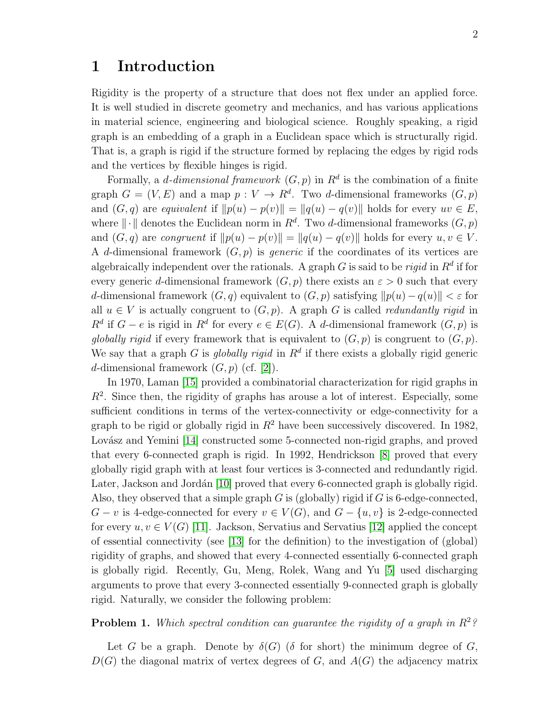#### 1 Introduction

Rigidity is the property of a structure that does not flex under an applied force. It is well studied in discrete geometry and mechanics, and has various applications in material science, engineering and biological science. Roughly speaking, a rigid graph is an embedding of a graph in a Euclidean space which is structurally rigid. That is, a graph is rigid if the structure formed by replacing the edges by rigid rods and the vertices by flexible hinges is rigid.

Formally, a *d*-dimensional framework  $(G, p)$  in  $\mathbb{R}^d$  is the combination of a finite graph  $G = (V, E)$  and a map  $p: V \to R^d$ . Two d-dimensional frameworks  $(G, p)$ and  $(G, q)$  are equivalent if  $||p(u) - p(v)|| = ||q(u) - q(v)||$  holds for every  $uv \in E$ , where  $\|\cdot\|$  denotes the Euclidean norm in  $R^d$ . Two d-dimensional frameworks  $(G, p)$ and  $(G, q)$  are *congruent* if  $||p(u) - p(v)|| = ||q(u) - q(v)||$  holds for every  $u, v \in V$ . A d-dimensional framework  $(G, p)$  is *generic* if the coordinates of its vertices are algebraically independent over the rationals. A graph G is said to be *rigid* in  $R^d$  if for every generic d-dimensional framework  $(G, p)$  there exists an  $\varepsilon > 0$  such that every d-dimensional framework  $(G, q)$  equivalent to  $(G, p)$  satisfying  $||p(u) - q(u)|| < \varepsilon$  for all  $u \in V$  is actually congruent to  $(G, p)$ . A graph G is called *redundantly rigid* in  $R^d$  if  $G - e$  is rigid in  $R^d$  for every  $e \in E(G)$ . A d-dimensional framework  $(G, p)$  is globally rigid if every framework that is equivalent to  $(G, p)$  is congruent to  $(G, p)$ . We say that a graph G is *globally rigid* in  $R<sup>d</sup>$  if there exists a globally rigid generic d-dimensional framework  $(G, p)$  (cf. [\[2\]](#page-12-0)).

In 1970, Laman [\[15\]](#page-13-0) provided a combinatorial characterization for rigid graphs in  $R<sup>2</sup>$ . Since then, the rigidity of graphs has arouse a lot of interest. Especially, some sufficient conditions in terms of the vertex-connectivity or edge-connectivity for a graph to be rigid or globally rigid in  $R^2$  have been successively discovered. In 1982, Lovász and Yemini [\[14\]](#page-13-1) constructed some 5-connected non-rigid graphs, and proved that every 6-connected graph is rigid. In 1992, Hendrickson [\[8\]](#page-12-1) proved that every globally rigid graph with at least four vertices is 3-connected and redundantly rigid. Later, Jackson and Jordán [\[10\]](#page-13-2) proved that every 6-connected graph is globally rigid. Also, they observed that a simple graph  $G$  is (globally) rigid if  $G$  is 6-edge-connected,  $G - v$  is 4-edge-connected for every  $v \in V(G)$ , and  $G - \{u, v\}$  is 2-edge-connected for every  $u, v \in V(G)$  [\[11\]](#page-13-3). Jackson, Servatius and Servatius [\[12\]](#page-13-4) applied the concept of essential connectivity (see [\[13\]](#page-13-5) for the definition) to the investigation of (global) rigidity of graphs, and showed that every 4-connected essentially 6-connected graph is globally rigid. Recently, Gu, Meng, Rolek, Wang and Yu [\[5\]](#page-12-2) used discharging arguments to prove that every 3-connected essentially 9-connected graph is globally rigid. Naturally, we consider the following problem:

#### <span id="page-1-0"></span>**Problem 1.** Which spectral condition can quarantee the rigidity of a graph in  $R^2$ ?

Let G be a graph. Denote by  $\delta(G)$  ( $\delta$  for short) the minimum degree of G,  $D(G)$  the diagonal matrix of vertex degrees of G, and  $A(G)$  the adjacency matrix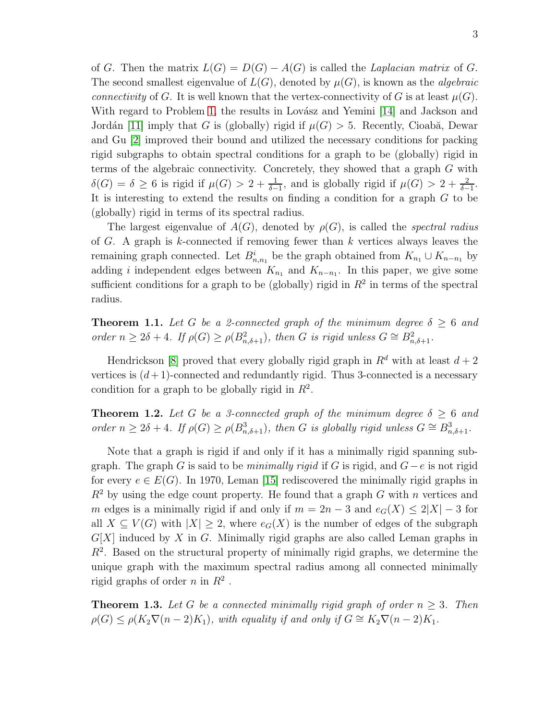of G. Then the matrix  $L(G) = D(G) - A(G)$  is called the *Laplacian matrix* of G. The second smallest eigenvalue of  $L(G)$ , denoted by  $\mu(G)$ , is known as the *algebraic* connectivity of G. It is well known that the vertex-connectivity of G is at least  $\mu(G)$ . With regard to Problem [1,](#page-1-0) the results in Lovász and Yemini  $[14]$  and Jackson and Jordán [\[11\]](#page-13-3) imply that G is (globally) rigid if  $\mu(G) > 5$ . Recently, Cioabă, Dewar and Gu [\[2\]](#page-12-0) improved their bound and utilized the necessary conditions for packing rigid subgraphs to obtain spectral conditions for a graph to be (globally) rigid in terms of the algebraic connectivity. Concretely, they showed that a graph G with  $\delta(G) = \delta \geq 6$  is rigid if  $\mu(G) > 2 + \frac{1}{\delta - 1}$ , and is globally rigid if  $\mu(G) > 2 + \frac{2}{\delta - 1}$ . It is interesting to extend the results on finding a condition for a graph G to be (globally) rigid in terms of its spectral radius.

The largest eigenvalue of  $A(G)$ , denoted by  $\rho(G)$ , is called the *spectral radius* of G. A graph is k-connected if removing fewer than  $k$  vertices always leaves the remaining graph connected. Let  $B_{n,n_1}^i$  be the graph obtained from  $K_{n_1} \cup K_{n-n_1}$  by adding i independent edges between  $K_{n_1}$  and  $K_{n-n_1}$ . In this paper, we give some sufficient conditions for a graph to be (globally) rigid in  $R^2$  in terms of the spectral radius.

<span id="page-2-0"></span>**Theorem 1.1.** Let G be a 2-connected graph of the minimum degree  $\delta \geq 6$  and order  $n \geq 2\delta + 4$ . If  $\rho(G) \geq \rho(B_{n,\delta+1}^2)$ , then G is rigid unless  $G \cong B_{n,\delta+1}^2$ .

Hendrickson [\[8\]](#page-12-1) proved that every globally rigid graph in  $R^d$  with at least  $d+2$ vertices is  $(d+1)$ -connected and redundantly rigid. Thus 3-connected is a necessary condition for a graph to be globally rigid in  $R^2$ .

<span id="page-2-1"></span>**Theorem 1.2.** Let G be a 3-connected graph of the minimum degree  $\delta > 6$  and order  $n \geq 2\delta + 4$ . If  $\rho(G) \geq \rho(B_{n,\delta+1}^3)$ , then G is globally rigid unless  $G \cong B_{n,\delta+1}^3$ .

Note that a graph is rigid if and only if it has a minimally rigid spanning subgraph. The graph G is said to be *minimally rigid* if G is rigid, and  $G-e$  is not rigid for every  $e \in E(G)$ . In 1970, Leman [\[15\]](#page-13-0) rediscovered the minimally rigid graphs in  $R^2$  by using the edge count property. He found that a graph G with n vertices and m edges is a minimally rigid if and only if  $m = 2n - 3$  and  $e_G(X) \leq 2|X| - 3$  for all  $X \subseteq V(G)$  with  $|X| \geq 2$ , where  $e_G(X)$  is the number of edges of the subgraph  $G[X]$  induced by X in G. Minimally rigid graphs are also called Leman graphs in  $R<sup>2</sup>$ . Based on the structural property of minimally rigid graphs, we determine the unique graph with the maximum spectral radius among all connected minimally rigid graphs of order  $n$  in  $R^2$ .

<span id="page-2-2"></span>**Theorem 1.3.** Let G be a connected minimally rigid graph of order  $n \geq 3$ . Then  $\rho(G) \leq \rho(K_2 \nabla (n-2)K_1)$ , with equality if and only if  $G \cong K_2 \nabla (n-2)K_1$ .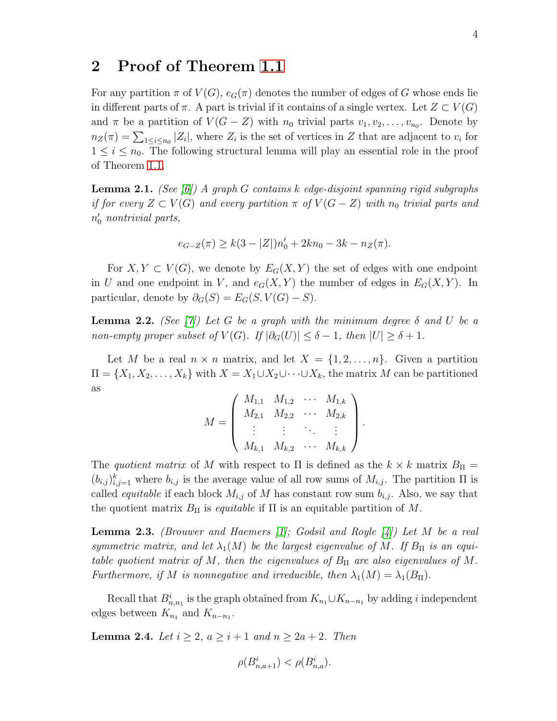#### 2 Proof of Theorem [1.1](#page-2-0)

For any partition  $\pi$  of  $V(G)$ ,  $e_G(\pi)$  denotes the number of edges of G whose ends lie in different parts of  $\pi$ . A part is trivial if it contains of a single vertex. Let  $Z \subset V(G)$ and  $\pi$  be a partition of  $V(G - Z)$  with  $n_0$  trivial parts  $v_1, v_2, \ldots, v_{n_0}$ . Denote by  $n_Z(\pi) = \sum_{1 \leq i \leq n_0} |Z_i|$ , where  $Z_i$  is the set of vertices in Z that are adjacent to  $v_i$  for  $1 \leq i \leq n_0$ . The following structural lemma will play an essential role in the proof of Theorem [1.1.](#page-2-0)

<span id="page-3-1"></span>**Lemma 2.1.** (See [\[6\]](#page-12-3)) A graph G contains k edge-disjoint spanning rigid subgraphs if for every  $Z \subset V(G)$  and every partition  $\pi$  of  $V(G - Z)$  with  $n_0$  trivial parts and  $n'_0$  nontrivial parts,

$$
e_{G-Z}(\pi) \ge k(3-|Z|)n'_0 + 2kn_0 - 3k - n_Z(\pi).
$$

For  $X, Y \subset V(G)$ , we denote by  $E_G(X, Y)$  the set of edges with one endpoint in U and one endpoint in V, and  $e_G(X, Y)$  the number of edges in  $E_G(X, Y)$ . In particular, denote by  $\partial_G(S) = E_G(S, V(G) - S)$ .

<span id="page-3-2"></span>**Lemma 2.2.** (See [\[7\]](#page-12-4)) Let G be a graph with the minimum degree  $\delta$  and U be a non-empty proper subset of  $V(G)$ . If  $|\partial_G(U)| \leq \delta - 1$ , then  $|U| \geq \delta + 1$ .

Let M be a real  $n \times n$  matrix, and let  $X = \{1, 2, ..., n\}$ . Given a partition  $\Pi = \{X_1, X_2, \ldots, X_k\}$  with  $X = X_1 \cup X_2 \cup \cdots \cup X_k$ , the matrix M can be partitioned as

$$
M = \begin{pmatrix} M_{1,1} & M_{1,2} & \cdots & M_{1,k} \\ M_{2,1} & M_{2,2} & \cdots & M_{2,k} \\ \vdots & \vdots & \ddots & \vdots \\ M_{k,1} & M_{k,2} & \cdots & M_{k,k} \end{pmatrix}.
$$

The quotient matrix of M with respect to  $\Pi$  is defined as the  $k \times k$  matrix  $B_{\Pi}$  =  $(b_{i,j})_{i,j=1}^k$  where  $b_{i,j}$  is the average value of all row sums of  $M_{i,j}$ . The partition  $\Pi$  is called *equitable* if each block  $M_{i,j}$  of M has constant row sum  $b_{i,j}$ . Also, we say that the quotient matrix  $B_{\Pi}$  is *equitable* if  $\Pi$  is an equitable partition of M.

<span id="page-3-0"></span>**Lemma 2.3.** (Brouwer and Haemers [\[1\]](#page-12-5); Godsil and Royle [\[4\]](#page-12-6)) Let M be a real symmetric matrix, and let  $\lambda_1(M)$  be the largest eigenvalue of M. If  $B_{\Pi}$  is an equitable quotient matrix of M, then the eigenvalues of  $B_{\Pi}$  are also eigenvalues of M. Furthermore, if M is nonnegative and irreducible, then  $\lambda_1(M) = \lambda_1(B_\Pi)$ .

Recall that  $B_{n,n_1}^i$  is the graph obtained from  $K_{n_1} \cup K_{n-n_1}$  by adding i independent edges between  $K_{n_1}$  and  $K_{n-n_1}$ .

<span id="page-3-3"></span>**Lemma 2.4.** Let  $i \geq 2$ ,  $a \geq i+1$  and  $n \geq 2a+2$ . Then

$$
\rho(B_{n,a+1}^i)<\rho(B_{n,a}^i).
$$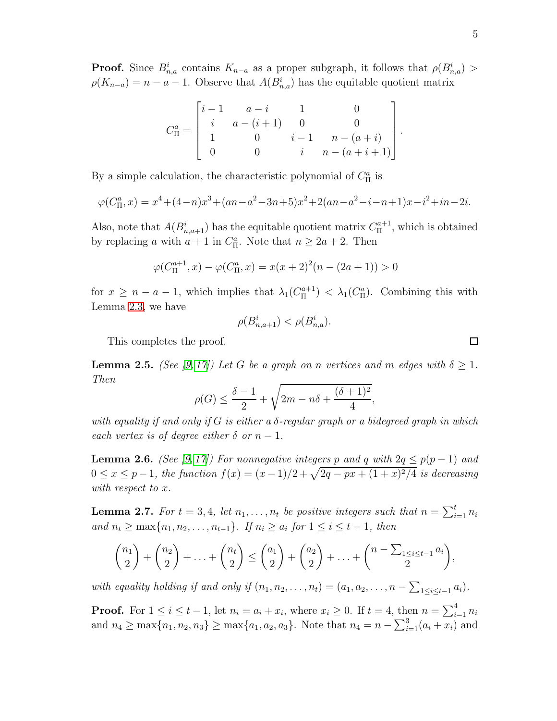$$
C_{\Pi}^{a} = \begin{bmatrix} i-1 & a-i & 1 & 0 \\ i & a-(i+1) & 0 & 0 \\ 1 & 0 & i-1 & n-(a+i) \\ 0 & 0 & i & n-(a+i+1) \end{bmatrix}
$$

By a simple calculation, the characteristic polynomial of  $C_{\Pi}^{a}$  is

$$
\varphi(C_{\Pi}^a, x) = x^4 + (4 - n)x^3 + (an - a^2 - 3n + 5)x^2 + 2(an - a^2 - i - n + 1)x - i^2 + in - 2i.
$$

Also, note that  $A(B_{n,a+1}^i)$  has the equitable quotient matrix  $C_{\Pi}^{a+1}$  $\prod_{\Pi}^{a+1}$ , which is obtained by replacing a with  $a + 1$  in  $C_{\Pi}^a$ . Note that  $n \ge 2a + 2$ . Then

$$
\varphi(C_{\Pi}^{a+1}, x) - \varphi(C_{\Pi}^{a}, x) = x(x+2)^2(n - (2a+1)) > 0
$$

for  $x \geq n - a - 1$ , which implies that  $\lambda_1(C_{\Pi}^{a+1})$  $\binom{n+1}{\Pi} < \lambda_1(C_{\Pi}^a)$ . Combining this with Lemma [2.3,](#page-3-0) we have

$$
\rho(B_{n,a+1}^i) < \rho(B_{n,a}^i).
$$

This completes the proof.

<span id="page-4-0"></span>**Lemma 2.5.** (See [\[9,](#page-13-6) [17\]](#page-13-7)) Let G be a graph on n vertices and m edges with  $\delta \geq 1$ . Then

$$
\rho(G) \le \frac{\delta - 1}{2} + \sqrt{2m - n\delta + \frac{(\delta + 1)^2}{4}},
$$

with equality if and only if G is either a  $\delta$ -regular graph or a bidegreed graph in which each vertex is of degree either  $\delta$  or  $n-1$ .

<span id="page-4-1"></span>**Lemma 2.6.** (See [\[9,](#page-13-6) [17\]](#page-13-7)) For nonnegative integers p and q with  $2q \leq p(p-1)$  and  $0 \le x \le p-1$ , the function  $f(x) = (x-1)/2 + \sqrt{2q - px + (1+x)^2/4}$  is decreasing with respect to x.

<span id="page-4-2"></span>**Lemma 2.7.** For  $t = 3, 4$ , let  $n_1, \ldots, n_t$  be positive integers such that  $n = \sum_{i=1}^t n_i$ and  $n_t$  ≥ max ${n_1, n_2, \ldots, n_{t-1}}$ . If  $n_i$  ≥  $a_i$  for  $1 \le i \le t-1$ , then

$$
\binom{n_1}{2}+\binom{n_2}{2}+\ldots+\binom{n_t}{2}\leq \binom{a_1}{2}+\binom{a_2}{2}+\ldots+\binom{n-\sum_{1\leq i\leq t-1}a_i}{2},
$$

with equality holding if and only if  $(n_1, n_2, \ldots, n_t) = (a_1, a_2, \ldots, n - \sum_{1 \leq i \leq t-1} a_i)$ .

**Proof.** For  $1 \leq i \leq t-1$ , let  $n_i = a_i + x_i$ , where  $x_i \geq 0$ . If  $t = 4$ , then  $n = \sum_{i=1}^{4} n_i$ and  $n_4 \ge \max\{n_1, n_2, n_3\} \ge \max\{a_1, a_2, a_3\}$ . Note that  $n_4 = n - \sum_{i=1}^3 (a_i + x_i)$  and

.

 $\Box$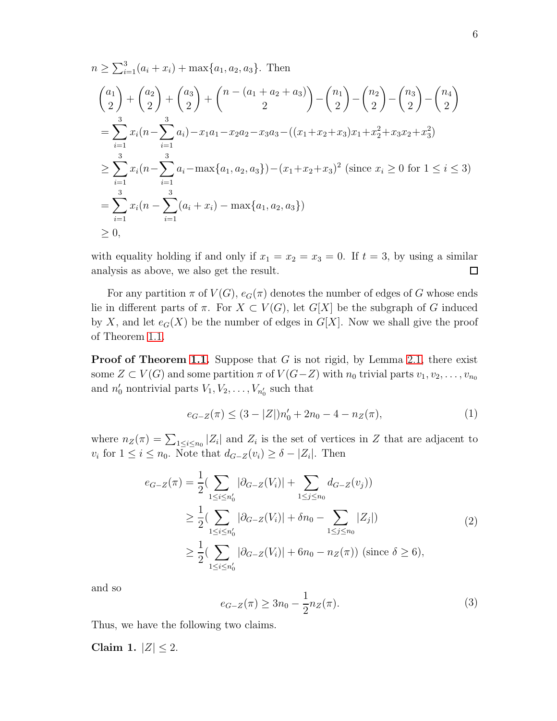$$
n \geq \sum_{i=1}^{3} (a_i + x_i) + \max\{a_1, a_2, a_3\}. \text{ Then}
$$
\n
$$
\binom{a_1}{2} + \binom{a_2}{2} + \binom{a_3}{2} + \binom{n - (a_1 + a_2 + a_3)}{2} - \binom{n_1}{2} - \binom{n_2}{2} - \binom{n_3}{2} - \binom{n_4}{2}
$$
\n
$$
= \sum_{i=1}^{3} x_i (n - \sum_{i=1}^{3} a_i) - x_1 a_1 - x_2 a_2 - x_3 a_3 - ((x_1 + x_2 + x_3)x_1 + x_2^2 + x_3 x_2 + x_3^2)
$$
\n
$$
\geq \sum_{i=1}^{3} x_i (n - \sum_{i=1}^{3} a_i - \max\{a_1, a_2, a_3\}) - (x_1 + x_2 + x_3)^2 \text{ (since } x_i \geq 0 \text{ for } 1 \leq i \leq 3)
$$
\n
$$
= \sum_{i=1}^{3} x_i (n - \sum_{i=1}^{3} (a_i + x_i) - \max\{a_1, a_2, a_3\})
$$
\n
$$
\geq 0,
$$

with equality holding if and only if  $x_1 = x_2 = x_3 = 0$ . If  $t = 3$ , by using a similar analysis as above, we also get the result.  $\Box$ 

For any partition  $\pi$  of  $V(G)$ ,  $e_G(\pi)$  denotes the number of edges of G whose ends lie in different parts of  $\pi$ . For  $X \subset V(G)$ , let  $G[X]$  be the subgraph of G induced by X, and let  $e_G(X)$  be the number of edges in  $G[X]$ . Now we shall give the proof of Theorem [1.1.](#page-2-0)

**Proof of Theorem [1.1.](#page-2-0)** Suppose that  $G$  is not rigid, by Lemma [2.1,](#page-3-1) there exist some  $Z \subset V(G)$  and some partition  $\pi$  of  $V(G-Z)$  with  $n_0$  trivial parts  $v_1, v_2, \ldots, v_{n_0}$ and  $n'_0$  nontrivial parts  $V_1, V_2, \ldots, V_{n'_0}$  such that

<span id="page-5-0"></span>
$$
e_{G-Z}(\pi) \le (3 - |Z|)n'_0 + 2n_0 - 4 - n_Z(\pi),\tag{1}
$$

where  $n_Z(\pi) = \sum_{1 \leq i \leq n_0} |Z_i|$  and  $Z_i$  is the set of vertices in Z that are adjacent to  $v_i$  for  $1 \leq i \leq n_0$ . Note that  $d_{G-Z}(v_i) \geq \delta - |Z_i|$ . Then

<span id="page-5-2"></span>
$$
e_{G-Z}(\pi) = \frac{1}{2} \left( \sum_{1 \le i \le n'_0} |\partial_{G-Z}(V_i)| + \sum_{1 \le j \le n_0} d_{G-Z}(v_j) \right)
$$
  
\n
$$
\ge \frac{1}{2} \left( \sum_{1 \le i \le n'_0} |\partial_{G-Z}(V_i)| + \delta n_0 - \sum_{1 \le j \le n_0} |Z_j| \right)
$$
  
\n
$$
\ge \frac{1}{2} \left( \sum_{1 \le i \le n'_0} |\partial_{G-Z}(V_i)| + 6n_0 - n_Z(\pi) \right) \text{ (since } \delta \ge 6),
$$
\n(2)

and so

<span id="page-5-1"></span>
$$
e_{G-Z}(\pi) \ge 3n_0 - \frac{1}{2}n_Z(\pi). \tag{3}
$$

Thus, we have the following two claims.

Claim 1.  $|Z| \le 2$ .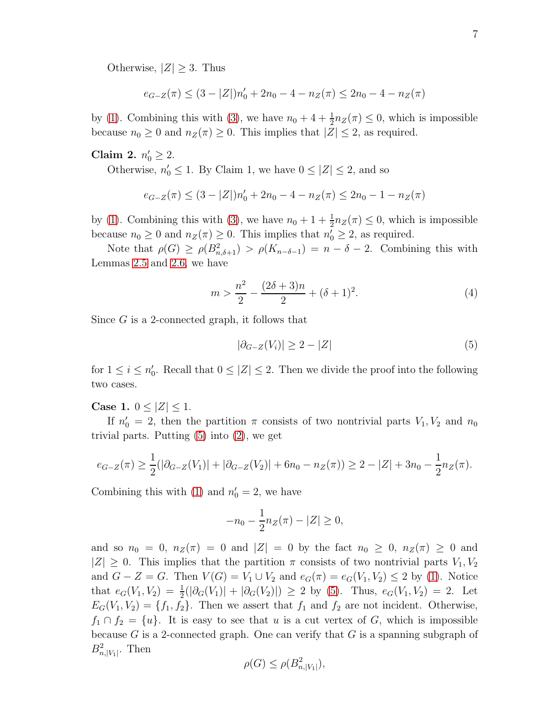Otherwise,  $|Z| \geq 3$ . Thus

$$
e_{G-Z}(\pi) \le (3 - |Z|)n'_0 + 2n_0 - 4 - n_Z(\pi) \le 2n_0 - 4 - n_Z(\pi)
$$

by [\(1\)](#page-5-0). Combining this with [\(3\)](#page-5-1), we have  $n_0 + 4 + \frac{1}{2}n_Z(\pi) \leq 0$ , which is impossible because  $n_0 \geq 0$  and  $n_Z(\pi) \geq 0$ . This implies that  $|Z| \leq 2$ , as required.

# Claim 2.  $n'_0 \ge 2$ .

Otherwise,  $n'_0 \leq 1$ . By Claim 1, we have  $0 \leq |Z| \leq 2$ , and so

$$
e_{G-Z}(\pi) \le (3 - |Z|)n'_0 + 2n_0 - 4 - n_Z(\pi) \le 2n_0 - 1 - n_Z(\pi)
$$

by [\(1\)](#page-5-0). Combining this with [\(3\)](#page-5-1), we have  $n_0 + 1 + \frac{1}{2}n_Z(\pi) \leq 0$ , which is impossible because  $n_0 \geq 0$  and  $n_Z(\pi) \geq 0$ . This implies that  $n'_0 \geq 2$ , as required.

Note that  $\rho(G) \ge \rho(B_{n,\delta+1}^2) > \rho(K_{n-\delta-1}) = n-\delta-2$ . Combining this with Lemmas [2.5](#page-4-0) and [2.6,](#page-4-1) we have

<span id="page-6-1"></span>
$$
m > \frac{n^2}{2} - \frac{(2\delta + 3)n}{2} + (\delta + 1)^2.
$$
 (4)

Since G is a 2-connected graph, it follows that

<span id="page-6-0"></span>
$$
|\partial_{G-Z}(V_i)| \ge 2 - |Z| \tag{5}
$$

for  $1 \leq i \leq n_0'$ . Recall that  $0 \leq |Z| \leq 2$ . Then we divide the proof into the following two cases.

**Case 1.**  $0 \leq |Z| \leq 1$ .

If  $n'_0 = 2$ , then the partition  $\pi$  consists of two nontrivial parts  $V_1, V_2$  and  $n_0$ trivial parts. Putting [\(5\)](#page-6-0) into [\(2\)](#page-5-2), we get

$$
e_{G-Z}(\pi) \ge \frac{1}{2}(|\partial_{G-Z}(V_1)| + |\partial_{G-Z}(V_2)| + 6n_0 - n_Z(\pi)) \ge 2 - |Z| + 3n_0 - \frac{1}{2}n_Z(\pi).
$$

Combining this with [\(1\)](#page-5-0) and  $n'_0 = 2$ , we have

$$
-n_0 - \frac{1}{2}n_Z(\pi) - |Z| \ge 0,
$$

and so  $n_0 = 0$ ,  $n_Z(\pi) = 0$  and  $|Z| = 0$  by the fact  $n_0 \geq 0$ ,  $n_Z(\pi) \geq 0$  and  $|Z| \geq 0$ . This implies that the partition  $\pi$  consists of two nontrivial parts  $V_1, V_2$ and  $G - Z = G$ . Then  $V(G) = V_1 \cup V_2$  and  $e_G(\pi) = e_G(V_1, V_2) \leq 2$  by [\(1\)](#page-5-0). Notice that  $e_G(V_1, V_2) = \frac{1}{2}(|\partial_G(V_1)| + |\partial_G(V_2)|) \ge 2$  by [\(5\)](#page-6-0). Thus,  $e_G(V_1, V_2) = 2$ . Let  $E_G(V_1, V_2) = \{f_1, f_2\}.$  Then we assert that  $f_1$  and  $f_2$  are not incident. Otherwise,  $f_1 \cap f_2 = \{u\}.$  It is easy to see that u is a cut vertex of G, which is impossible because  $G$  is a 2-connected graph. One can verify that  $G$  is a spanning subgraph of  $B_{n,|V_1|}^2$ . Then

$$
\rho(G) \le \rho(B_{n,|V_1|}^2),
$$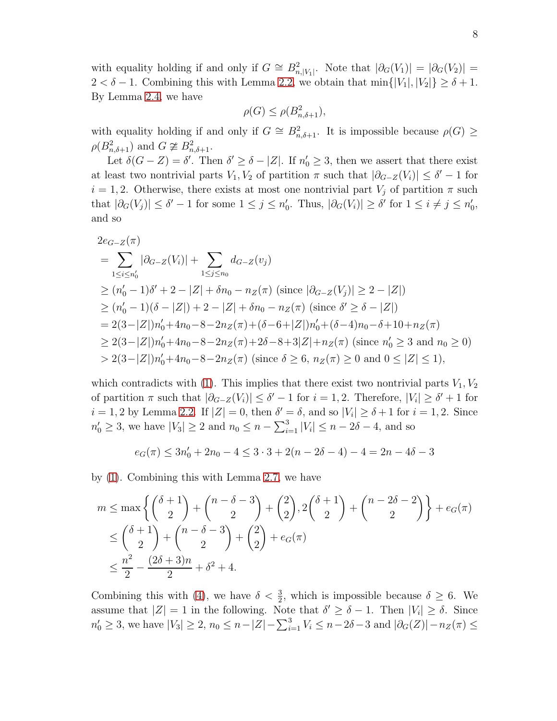with equality holding if and only if  $G \cong B^2_{n,|V_1|}$ . Note that  $|\partial_G(V_1)| = |\partial_G(V_2)| =$  $2 < \delta - 1$ . Combining this with Lemma [2.2,](#page-3-2) we obtain that min $\{|V_1|, |V_2|\} \ge \delta + 1$ . By Lemma [2.4,](#page-3-3) we have

$$
\rho(G) \le \rho(B_{n,\delta+1}^2),
$$

with equality holding if and only if  $G \cong B_{n,\delta+1}^2$ . It is impossible because  $\rho(G) \geq$  $\rho(B_{n,\delta+1}^2)$  and  $G \not\cong B_{n,\delta+1}^2$ .

Let  $\delta(G - Z) = \delta'$ . Then  $\delta' \ge \delta - |Z|$ . If  $n'_0 \ge 3$ , then we assert that there exist at least two nontrivial parts  $V_1, V_2$  of partition  $\pi$  such that  $|\partial_{G-Z}(V_i)| \leq \delta' - 1$  for  $i = 1, 2$ . Otherwise, there exists at most one nontrivial part  $V_i$  of partition  $\pi$  such that  $|\partial_G(V_j)| \leq \delta' - 1$  for some  $1 \leq j \leq n'_0$ . Thus,  $|\partial_G(V_i)| \geq \delta'$  for  $1 \leq i \neq j \leq n'_0$ , and so

$$
2e_{G-Z}(\pi)
$$
  
=  $\sum_{1 \le i \le n'_0} |\partial_{G-Z}(V_i)| + \sum_{1 \le j \le n_0} d_{G-Z}(v_j)$   
 $\ge (n'_0 - 1)\delta' + 2 - |Z| + \delta n_0 - n_Z(\pi)$  (since  $|\partial_{G-Z}(V_j)| \ge 2 - |Z|$ )  
 $\ge (n'_0 - 1)(\delta - |Z|) + 2 - |Z| + \delta n_0 - n_Z(\pi)$  (since  $\delta' \ge \delta - |Z|$ )  
=  $2(3 - |Z|)n'_0 + 4n_0 - 8 - 2n_Z(\pi) + (\delta - 6 + |Z|)n'_0 + (\delta - 4)n_0 - \delta + 10 + n_Z(\pi)$   
 $\ge 2(3 - |Z|)n'_0 + 4n_0 - 8 - 2n_Z(\pi) + 2\delta - 8 + 3|Z| + n_Z(\pi)$  (since  $n'_0 \ge 3$  and  $n_0 \ge 0$ )  
 $> 2(3 - |Z|)n'_0 + 4n_0 - 8 - 2n_Z(\pi)$  (since  $\delta \ge 6, n_Z(\pi) \ge 0$  and  $0 \le |Z| \le 1$ ),

which contradicts with [\(1\)](#page-5-0). This implies that there exist two nontrivial parts  $V_1, V_2$ of partition  $\pi$  such that  $|\partial_{G-Z}(V_i)| \leq \delta' - 1$  for  $i = 1, 2$ . Therefore,  $|V_i| \geq \delta' + 1$  for  $i = 1, 2$  by Lemma [2.2.](#page-3-2) If  $|Z| = 0$ , then  $\delta' = \delta$ , and so  $|V_i| \ge \delta + 1$  for  $i = 1, 2$ . Since  $n'_0 \ge 3$ , we have  $|V_3| \ge 2$  and  $n_0 \le n - \sum_{i=1}^3 |V_i| \le n - 2\delta - 4$ , and so

$$
e_G(\pi) \le 3n'_0 + 2n_0 - 4 \le 3 \cdot 3 + 2(n - 2\delta - 4) - 4 = 2n - 4\delta - 3
$$

by [\(1\)](#page-5-0). Combining this with Lemma [2.7,](#page-4-2) we have

$$
m \le \max\left\{ \binom{\delta+1}{2} + \binom{n-\delta-3}{2} + \binom{2}{2}, 2\binom{\delta+1}{2} + \binom{n-2\delta-2}{2} \right\} + e_G(\pi)
$$
  
\n
$$
\le \binom{\delta+1}{2} + \binom{n-\delta-3}{2} + \binom{2}{2} + e_G(\pi)
$$
  
\n
$$
\le \frac{n^2}{2} - \frac{(2\delta+3)n}{2} + \delta^2 + 4.
$$

Combining this with [\(4\)](#page-6-1), we have  $\delta < \frac{3}{2}$ , which is impossible because  $\delta \geq 6$ . We assume that  $|Z| = 1$  in the following. Note that  $\delta' \ge \delta - 1$ . Then  $|V_i| \ge \delta$ . Since  $n'_0 \ge 3$ , we have  $|V_3| \ge 2$ ,  $n_0 \le n - |Z| - \sum_{i=1}^3 V_i \le n - 2\delta - 3$  and  $|\partial_G(Z)| - n_Z(\pi) \le$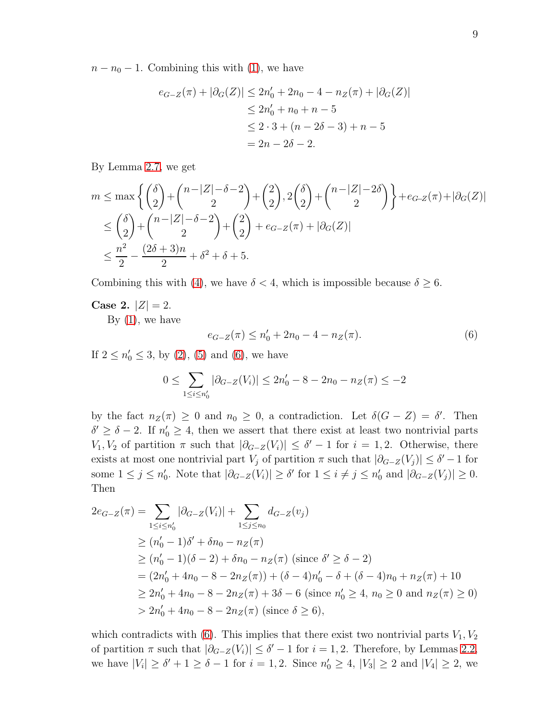$n - n_0 - 1$ . Combining this with [\(1\)](#page-5-0), we have

$$
e_{G-Z}(\pi) + |\partial_G(Z)| \le 2n'_0 + 2n_0 - 4 - n_Z(\pi) + |\partial_G(Z)|
$$
  
\n
$$
\le 2n'_0 + n_0 + n - 5
$$
  
\n
$$
\le 2 \cdot 3 + (n - 2\delta - 3) + n - 5
$$
  
\n
$$
= 2n - 2\delta - 2.
$$

By Lemma [2.7,](#page-4-2) we get

$$
m \le \max\left\{ \binom{\delta}{2} + \binom{n-|Z| - \delta - 2}{2} + \binom{2}{2}, 2\binom{\delta}{2} + \binom{n-|Z| - 2\delta}{2} \right\} + e_{G-Z}(\pi) + |\partial_G(Z)|
$$
  
\n
$$
\le \binom{\delta}{2} + \binom{n-|Z| - \delta - 2}{2} + \binom{2}{2} + e_{G-Z}(\pi) + |\partial_G(Z)|
$$
  
\n
$$
\le \frac{n^2}{2} - \frac{(2\delta + 3)n}{2} + \delta^2 + \delta + 5.
$$

Combining this with [\(4\)](#page-6-1), we have  $\delta < 4$ , which is impossible because  $\delta \geq 6$ .

Case 2.  $|Z| = 2$ .

By  $(1)$ , we have

<span id="page-8-0"></span>
$$
e_{G-Z}(\pi) \le n'_0 + 2n_0 - 4 - n_Z(\pi). \tag{6}
$$

If  $2 \le n'_0 \le 3$ , by [\(2\)](#page-5-2), [\(5\)](#page-6-0) and [\(6\)](#page-8-0), we have

$$
0 \le \sum_{1 \le i \le n'_0} |\partial_{G-Z}(V_i)| \le 2n'_0 - 8 - 2n_0 - n_Z(\pi) \le -2
$$

by the fact  $n_Z(\pi) \geq 0$  and  $n_0 \geq 0$ , a contradiction. Let  $\delta(G - Z) = \delta'$ . Then  $\delta' \geq \delta - 2$ . If  $n'_0 \geq 4$ , then we assert that there exist at least two nontrivial parts  $V_1, V_2$  of partition  $\pi$  such that  $|\partial_{G-Z}(V_i)| \leq \delta' - 1$  for  $i = 1, 2$ . Otherwise, there exists at most one nontrivial part  $V_j$  of partition  $\pi$  such that  $|\partial_{G-Z}(V_j)| \leq \delta' - 1$  for some  $1 \leq j \leq n'_0$ . Note that  $|\partial_{G-Z}(V_i)| \geq \delta'$  for  $1 \leq i \neq j \leq n'_0$  and  $|\partial_{G-Z}(V_j)| \geq 0$ . Then

$$
2e_{G-Z}(\pi) = \sum_{1 \le i \le n'_0} |\partial_{G-Z}(V_i)| + \sum_{1 \le j \le n_0} d_{G-Z}(v_j)
$$
  
\n
$$
\ge (n'_0 - 1)\delta' + \delta n_0 - n_Z(\pi)
$$
  
\n
$$
\ge (n'_0 - 1)(\delta - 2) + \delta n_0 - n_Z(\pi) \text{ (since } \delta' \ge \delta - 2)
$$
  
\n
$$
= (2n'_0 + 4n_0 - 8 - 2n_Z(\pi)) + (\delta - 4)n'_0 - \delta + (\delta - 4)n_0 + n_Z(\pi) + 10
$$
  
\n
$$
\ge 2n'_0 + 4n_0 - 8 - 2n_Z(\pi) + 3\delta - 6 \text{ (since } n'_0 \ge 4, n_0 \ge 0 \text{ and } n_Z(\pi) \ge 0)
$$
  
\n
$$
> 2n'_0 + 4n_0 - 8 - 2n_Z(\pi) \text{ (since } \delta \ge 6),
$$

which contradicts with [\(6\)](#page-8-0). This implies that there exist two nontrivial parts  $V_1, V_2$ of partition  $\pi$  such that  $|\partial_{G-Z}(V_i)| \leq \delta' - 1$  for  $i = 1, 2$ . Therefore, by Lemmas [2.2,](#page-3-2) we have  $|V_i| \ge \delta' + 1 \ge \delta - 1$  for  $i = 1, 2$ . Since  $n'_0 \ge 4$ ,  $|V_3| \ge 2$  and  $|V_4| \ge 2$ , we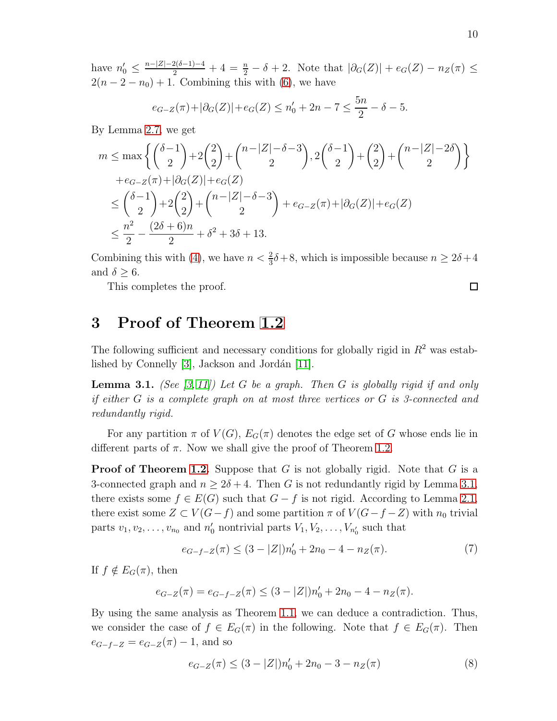have  $n'_0 \leq \frac{n-|Z|-2(\delta-1)-4}{2} + 4 = \frac{n}{2} - \delta + 2$ . Note that  $|\partial_G(Z)| + e_G(Z) - n_Z(\pi) \leq$  $2(n-2-n_0)+1$ . Combining this with [\(6\)](#page-8-0), we have

$$
e_{G-Z}(\pi) + |\partial_G(Z)| + e_G(Z) \le n'_0 + 2n - 7 \le \frac{5n}{2} - \delta - 5.
$$

By Lemma [2.7,](#page-4-2) we get

$$
m \le \max\left\{ \binom{\delta - 1}{2} + 2\binom{2}{2} + \binom{n - |Z| - \delta - 3}{2}, 2\binom{\delta - 1}{2} + \binom{2}{2} + \binom{n - |Z| - 2\delta}{2} \right\}
$$
  
+  $e_{G-Z}(\pi) + |\partial_G(Z)| + e_G(Z)$   

$$
\le \binom{\delta - 1}{2} + 2\binom{2}{2} + \binom{n - |Z| - \delta - 3}{2} + e_{G-Z}(\pi) + |\partial_G(Z)| + e_G(Z)
$$
  

$$
\le \frac{n^2}{2} - \frac{(2\delta + 6)n}{2} + \delta^2 + 3\delta + 13.
$$

Combining this with [\(4\)](#page-6-1), we have  $n < \frac{2}{3}\delta + 8$ , which is impossible because  $n \ge 2\delta + 4$ and  $\delta \geq 6$ .

This completes the proof.

# 3 Proof of Theorem [1.2](#page-2-1)

The following sufficient and necessary conditions for globally rigid in  $R^2$  was established by Connelly  $[3]$ , Jackson and Jordán  $[11]$ .

<span id="page-9-0"></span>**Lemma 3.1.** (See [\[3,](#page-12-7) [11\]](#page-13-3)) Let G be a graph. Then G is globally rigid if and only if either G is a complete graph on at most three vertices or G is 3-connected and redundantly rigid.

For any partition  $\pi$  of  $V(G)$ ,  $E_G(\pi)$  denotes the edge set of G whose ends lie in different parts of  $\pi$ . Now we shall give the proof of Theorem [1.2.](#page-2-1)

**Proof of Theorem [1.2.](#page-2-1)** Suppose that G is not globally rigid. Note that G is a 3-connected graph and  $n \geq 2\delta + 4$ . Then G is not redundantly rigid by Lemma [3.1,](#page-9-0) there exists some  $f \in E(G)$  such that  $G - f$  is not rigid. According to Lemma [2.1,](#page-3-1) there exist some  $Z \subset V(G - f)$  and some partition  $\pi$  of  $V(G - f - Z)$  with  $n_0$  trivial parts  $v_1, v_2, \ldots, v_{n_0}$  and  $n'_0$  nontrivial parts  $V_1, V_2, \ldots, V_{n'_0}$  such that

<span id="page-9-1"></span>
$$
e_{G-f-Z}(\pi) \le (3 - |Z|)n'_0 + 2n_0 - 4 - n_Z(\pi). \tag{7}
$$

If  $f \notin E_G(\pi)$ , then

$$
e_{G-Z}(\pi) = e_{G-f-Z}(\pi) \le (3 - |Z|)n'_0 + 2n_0 - 4 - n_Z(\pi).
$$

By using the same analysis as Theorem [1.1,](#page-2-0) we can deduce a contradiction. Thus, we consider the case of  $f \in E_G(\pi)$  in the following. Note that  $f \in E_G(\pi)$ . Then  $e_{G-f-Z} = e_{G-Z}(\pi) - 1$ , and so

<span id="page-9-2"></span>
$$
e_{G-Z}(\pi) \le (3 - |Z|)n'_0 + 2n_0 - 3 - n_Z(\pi)
$$
\n(8)

 $\Box$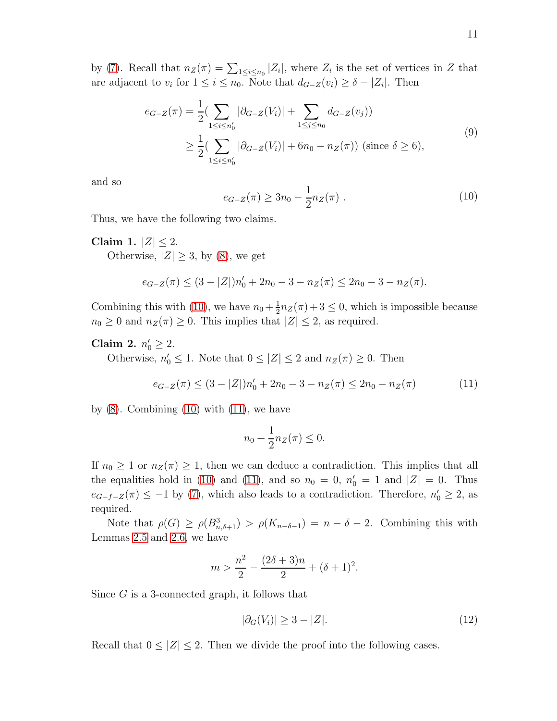by [\(7\)](#page-9-1). Recall that  $n_Z(\pi) = \sum_{1 \leq i \leq n_0} |Z_i|$ , where  $Z_i$  is the set of vertices in Z that are adjacent to  $v_i$  for  $1 \leq i \leq n_0$ . Note that  $d_{G-Z}(v_i) \geq \delta - |Z_i|$ . Then

<span id="page-10-3"></span>
$$
e_{G-Z}(\pi) = \frac{1}{2} \left( \sum_{1 \le i \le n'_0} |\partial_{G-Z}(V_i)| + \sum_{1 \le j \le n_0} d_{G-Z}(v_j) \right)
$$
  
 
$$
\ge \frac{1}{2} \left( \sum_{1 \le i \le n'_0} |\partial_{G-Z}(V_i)| + 6n_0 - n_Z(\pi) \right) \text{ (since } \delta \ge 6),
$$
 (9)

and so

<span id="page-10-0"></span>
$$
e_{G-Z}(\pi) \ge 3n_0 - \frac{1}{2}n_Z(\pi) . \tag{10}
$$

Thus, we have the following two claims.

Claim 1.  $|Z| \leq 2$ . Otherwise,  $|Z| \geq 3$ , by [\(8\)](#page-9-2), we get

$$
e_{G-Z}(\pi) \le (3 - |Z|)n'_0 + 2n_0 - 3 - n_Z(\pi) \le 2n_0 - 3 - n_Z(\pi).
$$

Combining this with [\(10\)](#page-10-0), we have  $n_0 + \frac{1}{2}$  $\frac{1}{2}n_Z(\pi) + 3 \leq 0$ , which is impossible because  $n_0 \geq 0$  and  $n_Z(\pi) \geq 0$ . This implies that  $|Z| \leq 2$ , as required.

# Claim 2.  $n'_0 \ge 2$ .

Otherwise,  $n'_0 \leq 1$ . Note that  $0 \leq |Z| \leq 2$  and  $n_Z(\pi) \geq 0$ . Then

<span id="page-10-1"></span>
$$
e_{G-Z}(\pi) \le (3 - |Z|)n'_0 + 2n_0 - 3 - n_Z(\pi) \le 2n_0 - n_Z(\pi)
$$
 (11)

by  $(8)$ . Combining  $(10)$  with  $(11)$ , we have

$$
n_0 + \frac{1}{2}n_Z(\pi) \le 0.
$$

If  $n_0 \geq 1$  or  $n_Z(\pi) \geq 1$ , then we can deduce a contradiction. This implies that all the equalities hold in [\(10\)](#page-10-0) and [\(11\)](#page-10-1), and so  $n_0 = 0$ ,  $n'_0 = 1$  and  $|Z| = 0$ . Thus  $e_{G-f-Z}(\pi) \leq -1$  by [\(7\)](#page-9-1), which also leads to a contradiction. Therefore,  $n'_0 \geq 2$ , as required.

Note that  $\rho(G) \ge \rho(B_{n,\delta+1}^3) > \rho(K_{n-\delta-1}) = n-\delta-2$ . Combining this with Lemmas [2.5](#page-4-0) and [2.6,](#page-4-1) we have

$$
m > \frac{n^2}{2} - \frac{(2\delta + 3)n}{2} + (\delta + 1)^2.
$$

Since G is a 3-connected graph, it follows that

<span id="page-10-2"></span>
$$
|\partial_G(V_i)| \ge 3 - |Z|. \tag{12}
$$

Recall that  $0 \leq |Z| \leq 2$ . Then we divide the proof into the following cases.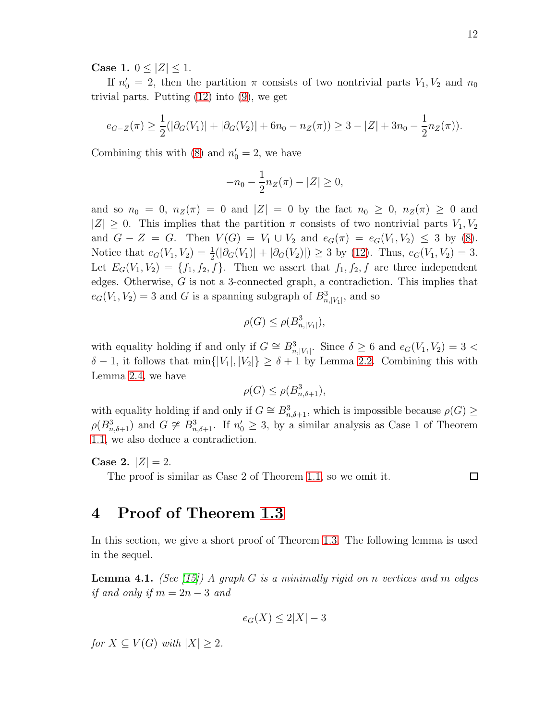Case 1.  $0 < |Z| < 1$ .

If  $n'_0 = 2$ , then the partition  $\pi$  consists of two nontrivial parts  $V_1, V_2$  and  $n_0$ trivial parts. Putting [\(12\)](#page-10-2) into [\(9\)](#page-10-3), we get

$$
e_{G-Z}(\pi) \ge \frac{1}{2}(|\partial_G(V_1)| + |\partial_G(V_2)| + 6n_0 - n_Z(\pi)) \ge 3 - |Z| + 3n_0 - \frac{1}{2}n_Z(\pi)).
$$

Combining this with [\(8\)](#page-9-2) and  $n'_0 = 2$ , we have

$$
-n_0 - \frac{1}{2}n_Z(\pi) - |Z| \ge 0,
$$

and so  $n_0 = 0$ ,  $n_Z(\pi) = 0$  and  $|Z| = 0$  by the fact  $n_0 \geq 0$ ,  $n_Z(\pi) \geq 0$  and  $|Z| \geq 0$ . This implies that the partition  $\pi$  consists of two nontrivial parts  $V_1, V_2$ and  $G - Z = G$ . Then  $V(G) = V_1 \cup V_2$  and  $e_G(\pi) = e_G(V_1, V_2) \leq 3$  by [\(8\)](#page-9-2). Notice that  $e_G(V_1, V_2) = \frac{1}{2}(|\partial_G(V_1)| + |\partial_G(V_2)|) \ge 3$  by [\(12\)](#page-10-2). Thus,  $e_G(V_1, V_2) = 3$ . Let  $E_G(V_1, V_2) = \{f_1, f_2, f\}$ . Then we assert that  $f_1, f_2, f$  are three independent edges. Otherwise, G is not a 3-connected graph, a contradiction. This implies that  $e_G(V_1, V_2) = 3$  and G is a spanning subgraph of  $B^3_{n, |V_1|}$ , and so

$$
\rho(G) \le \rho(B_{n,|V_1|}^3),
$$

with equality holding if and only if  $G \cong B_{n,|V_1|}^3$ . Since  $\delta \geq 6$  and  $e_G(V_1, V_2) = 3$  $\delta - 1$ , it follows that min $\{|V_1|, |V_2|\} \ge \delta + 1$  by Lemma [2.2.](#page-3-2) Combining this with Lemma [2.4,](#page-3-3) we have

$$
\rho(G) \le \rho(B_{n,\delta+1}^3),
$$

with equality holding if and only if  $G \cong B_{n,\delta+1}^3$ , which is impossible because  $\rho(G) \geq$  $\rho(B_{n,\delta+1}^3)$  and  $G \ncong B_{n,\delta+1}^3$ . If  $n'_0 \geq 3$ , by a similar analysis as Case 1 of Theorem [1.1,](#page-2-0) we also deduce a contradiction.

Case 2.  $|Z| = 2$ .

The proof is similar as Case 2 of Theorem [1.1,](#page-2-0) so we omit it.

 $\Box$ 

#### 4 Proof of Theorem [1.3](#page-2-2)

In this section, we give a short proof of Theorem [1.3.](#page-2-2) The following lemma is used in the sequel.

<span id="page-11-0"></span>**Lemma 4.1.** (See [\[15\]](#page-13-0)) A graph G is a minimally rigid on n vertices and m edges if and only if  $m = 2n - 3$  and

$$
e_G(X) \le 2|X| - 3
$$

for  $X \subseteq V(G)$  with  $|X| > 2$ .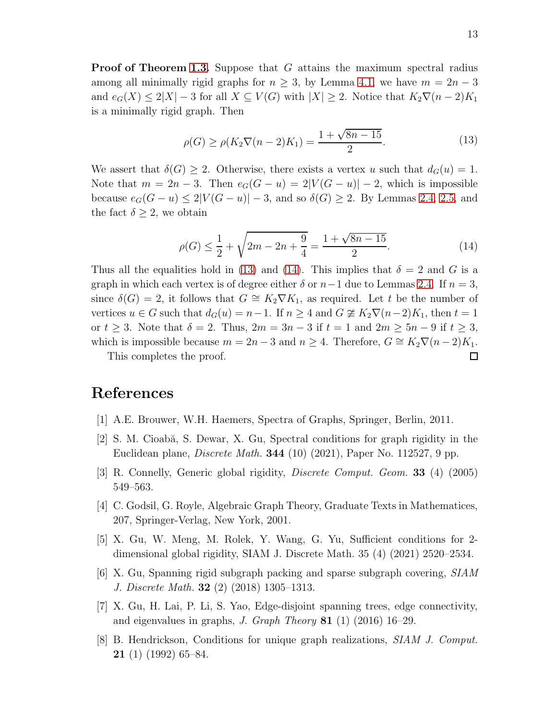**Proof of Theorem [1.3.](#page-2-2)** Suppose that G attains the maximum spectral radius among all minimally rigid graphs for  $n \geq 3$ , by Lemma [4.1,](#page-11-0) we have  $m = 2n - 3$ and  $e_G(X) \le 2|X| - 3$  for all  $X \subseteq V(G)$  with  $|X| \ge 2$ . Notice that  $K_2 \nabla (n-2)K_1$ is a minimally rigid graph. Then

<span id="page-12-8"></span>
$$
\rho(G) \ge \rho(K_2 \nabla (n-2)K_1) = \frac{1 + \sqrt{8n - 15}}{2}.
$$
\n(13)

We assert that  $\delta(G) \geq 2$ . Otherwise, there exists a vertex u such that  $d_G(u) = 1$ . Note that  $m = 2n - 3$ . Then  $e_G(G - u) = 2|V(G - u)| - 2$ , which is impossible because  $e_G(G - u) \leq 2|V(G - u)| - 3$ , and so  $\delta(G) \geq 2$ . By Lemmas [2.4,](#page-3-3) [2.5,](#page-4-0) and the fact  $\delta \geq 2$ , we obtain

<span id="page-12-9"></span>
$$
\rho(G) \le \frac{1}{2} + \sqrt{2m - 2n + \frac{9}{4}} = \frac{1 + \sqrt{8n - 15}}{2}.
$$
\n(14)

Thus all the equalities hold in [\(13\)](#page-12-8) and [\(14\)](#page-12-9). This implies that  $\delta = 2$  and G is a graph in which each vertex is of degree either  $\delta$  or  $n-1$  due to Lemmas [2.4.](#page-3-3) If  $n=3$ , since  $\delta(G) = 2$ , it follows that  $G \cong K_2 \nabla K_1$ , as required. Let t be the number of vertices  $u \in G$  such that  $d_G(u) = n-1$ . If  $n \geq 4$  and  $G \not\cong K_2 \nabla (n-2)K_1$ , then  $t = 1$ or  $t \geq 3$ . Note that  $\delta = 2$ . Thus,  $2m = 3n - 3$  if  $t = 1$  and  $2m \geq 5n - 9$  if  $t \geq 3$ , which is impossible because  $m = 2n - 3$  and  $n \ge 4$ . Therefore,  $G \cong K_2 \nabla (n-2)K_1$ .

This completes the proof.

#### <span id="page-12-5"></span>References

- <span id="page-12-0"></span>[1] A.E. Brouwer, W.H. Haemers, Spectra of Graphs, Springer, Berlin, 2011.
- <span id="page-12-7"></span> $[2]$  S. M. Cioabă, S. Dewar, X. Gu, Spectral conditions for graph rigidity in the Euclidean plane, *Discrete Math.* **344** (10) (2021), Paper No. 112527, 9 pp.
- <span id="page-12-6"></span>[3] R. Connelly, Generic global rigidity, Discrete Comput. Geom. 33 (4) (2005) 549–563.
- <span id="page-12-2"></span>[4] C. Godsil, G. Royle, Algebraic Graph Theory, Graduate Texts in Mathematices, 207, Springer-Verlag, New York, 2001.
- <span id="page-12-3"></span>[5] X. Gu, W. Meng, M. Rolek, Y. Wang, G. Yu, Sufficient conditions for 2 dimensional global rigidity, SIAM J. Discrete Math. 35 (4) (2021) 2520–2534.
- <span id="page-12-4"></span> $[6]$  X. Gu, Spanning rigid subgraph packing and sparse subgraph covering,  $SIM$ J. Discrete Math. 32 (2) (2018) 1305–1313.
- <span id="page-12-1"></span>[7] X. Gu, H. Lai, P. Li, S. Yao, Edge-disjoint spanning trees, edge connectivity, and eigenvalues in graphs, J. Graph Theory  $81$  (1) (2016) 16–29.
- [8] B. Hendrickson, Conditions for unique graph realizations, SIAM J. Comput. 21 (1) (1992) 65–84.

□